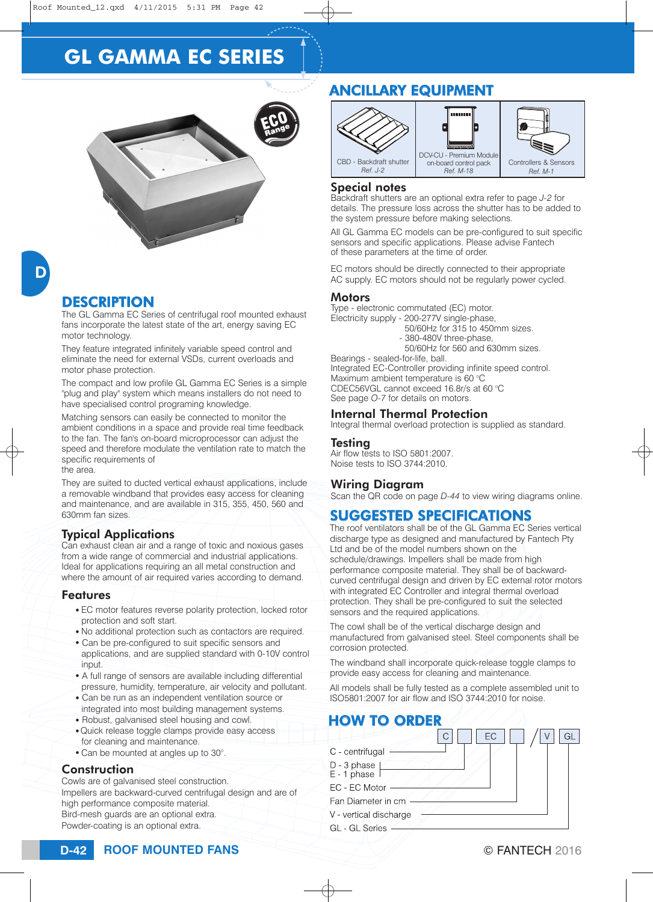# **GL GAMMA EC SERIES**



### **DESCRIPTION**

The GL Gamma EC Series of centrifugal roof mounted exhaust fans incorporate the latest state of the art, energy saving EC motor technology.

They feature integrated infinitely variable speed control and eliminate the need for external VSDs, current overloads and motor phase protection.

The compact and low profile GL Gamma EC Series is a simple "plug and play" system which means installers do not need to have specialised control programing knowledge.

Matching sensors can easily be connected to monitor the ambient conditions in a space and provide real time feedback to the fan. The fan's on-board microprocessor can adjust the speed and therefore modulate the ventilation rate to match the specific requirements of the area.

They are suited to ducted vertical exhaust applications, include a removable windband that provides easy access for cleaning and maintenance, and are available in 315, 355, 450, 560 and 630mm fan sizes.

#### Typical Applications

Can exhaust clean air and a range of toxic and noxious gases from a wide range of commercial and industrial applications. Ideal for applications requiring an all metal construction and where the amount of air required varies according to demand.

#### Features

- EC motor features reverse polarity protection, locked rotor protection and soft start.
- No additional protection such as contactors are required.
- Can be pre-configured to suit specific sensors and applications, and are supplied standard with 0-10V control input.
- A full range of sensors are available including differential pressure, humidity, temperature, air velocity and pollutant.
- Can be run as an independent ventilation source or integrated into most building management systems.
- Robust, galvanised steel housing and cowl.
- Quick release toggle clamps provide easy access for cleaning and maintenance.
- Can be mounted at angles up to 30°.

#### **Construction**

Cowls are of galvanised steel construction. Impellers are backward-curved centrifugal design and are of high performance composite material. Bird-mesh guards are an optional extra. Powder-coating is an optional extra.

## ANCILLARY EQUIPMENT



#### Special notes

Backdraft shutters are an optional extra refer to page *J-2* for details. The pressure loss across the shutter has to be added to the system pressure before making selections.

All GL Gamma EC models can be pre-configured to suit specific sensors and specific applications. Please advise Fantech of these parameters at the time of order.

EC motors should be directly connected to their appropriate AC supply. EC motors should not be regularly power cycled.

#### Motors

Type - electronic commutated (EC) motor. Electricity supply - 200-277V single-phase,

- 50/60Hz for 315 to 450mm sizes.
- 380-480V three-phase,

50/60Hz for 560 and 630mm sizes.

Bearings - sealed-for-life, ball. Integrated EC-Controller providing infinite speed control. Maximum ambient temperature is 60 °C CDEC56VGL cannot exceed  $16.8r/s$  at 60 °C See page *O-7* for details on motors.

#### Internal Thermal Protection

Integral thermal overload protection is supplied as standard.

#### **Testing**

Air flow tests to ISO 5801:2007. Noise tests to ISO 3744:2010.

#### Wiring Diagram

Scan the QR code on page *D-44* to view wiring diagrams online.

## SUGGESTED SPECIFICATIONS

The roof ventilators shall be of the GL Gamma EC Series vertical discharge type as designed and manufactured by Fantech Pty Ltd and be of the model numbers shown on the schedule/drawings. Impellers shall be made from high performance composite material. They shall be of backwardcurved centrifugal design and driven by EC external rotor motors with integrated EC Controller and integral thermal overload protection. They shall be pre-configured to suit the selected sensors and the required applications.

The cowl shall be of the vertical discharge design and manufactured from galvanised steel. Steel components shall be corrosion protected.

The windband shall incorporate quick-release toggle clamps to provide easy access for cleaning and maintenance.

All models shall be fully tested as a complete assembled unit to ISO5801:2007 for air flow and ISO 3744:2010 for noise.

## HOW TO ORDER

|                            | EС |  |
|----------------------------|----|--|
| C - centrifugal            |    |  |
| D - 3 phase<br>E - 1 phase |    |  |
| EC - EC Motor              |    |  |
| Fan Diameter in cm         |    |  |
| V - vertical discharge     |    |  |
| <b>GL</b> - GL Series      |    |  |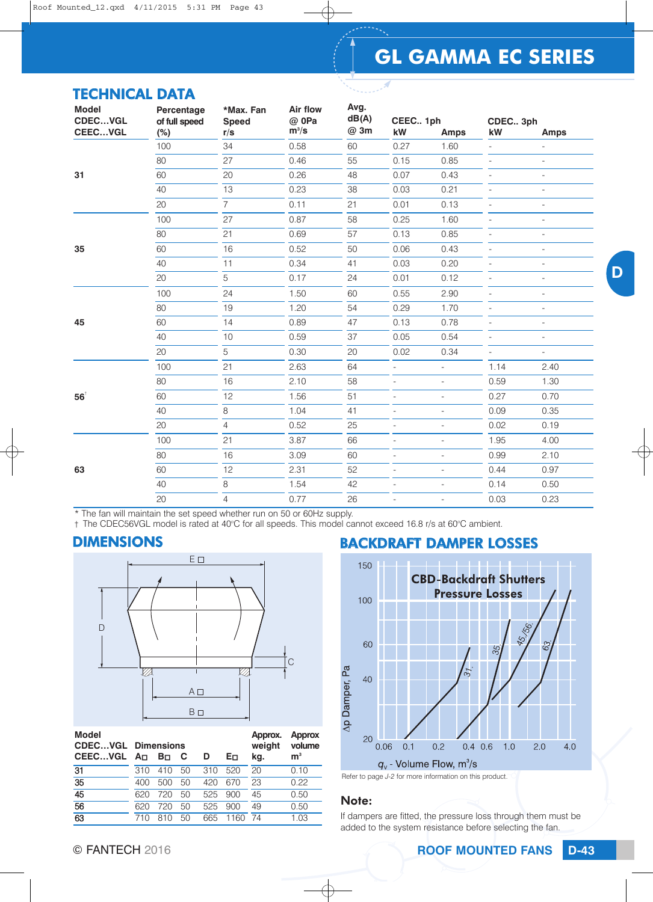# **GL GAMMA EC SERIES**

D

| <b>TECHNICAL DATA</b> |
|-----------------------|
|-----------------------|

| <b>Model</b><br><b>CDECVGL</b>    | Percentage<br>of full speed | *Max. Fan<br><b>Speed</b> | <b>Air flow</b><br>@ 0Pa | Avg.<br>dB(A) | CEEC 1ph                 |                          | CDEC 3ph                 |                          |
|-----------------------------------|-----------------------------|---------------------------|--------------------------|---------------|--------------------------|--------------------------|--------------------------|--------------------------|
| CEECVGL                           | (%)                         | r/s                       | $m^3/s$                  | @ 3m          | kW                       | <b>Amps</b>              | kW                       | <b>Amps</b>              |
|                                   | 100                         | 34                        | 0.58                     | 60            | 0.27                     | 1.60                     |                          | $\overline{\phantom{a}}$ |
|                                   | 80                          | 27                        | 0.46                     | 55            | 0.15                     | 0.85                     | $\overline{\phantom{a}}$ | $\equiv$                 |
| 31                                | 60                          | 20                        | 0.26                     | 48            | 0.07                     | 0.43                     |                          | $\overline{\phantom{a}}$ |
|                                   | 40                          | 13                        | 0.23                     | 38            | 0.03                     | 0.21                     | $\overline{\phantom{a}}$ | $\equiv$                 |
|                                   | 20                          | $\overline{7}$            | 0.11                     | 21            | 0.01                     | 0.13                     |                          | $\overline{a}$           |
|                                   | 100                         | 27                        | 0.87                     | 58            | 0.25                     | 1.60                     | $\overline{a}$           | $\overline{\phantom{a}}$ |
|                                   | 80                          | 21                        | 0.69                     | 57            | 0.13                     | 0.85                     | $\overline{\phantom{a}}$ | $\overline{\phantom{a}}$ |
| 35<br>60<br>40<br>20<br>100<br>80 |                             | 16                        | 0.52                     | 50            | 0.06                     | 0.43                     |                          | ÷,                       |
|                                   |                             | 11                        | 0.34                     | 41            | 0.03                     | 0.20                     | $\overline{a}$           | $\overline{\phantom{a}}$ |
|                                   |                             | 5                         | 0.17                     | 24            | 0.01                     | 0.12                     | $\overline{a}$           | $\overline{a}$           |
|                                   |                             | 24                        | 1.50                     | 60            | 0.55                     | 2.90                     |                          | $\overline{\phantom{a}}$ |
|                                   |                             | 19                        | 1.20                     | 54            | 0.29                     | 1.70                     | $\overline{\phantom{a}}$ | $\equiv$                 |
| 45                                | 60                          | 14                        | 0.89                     | 47            | 0.13                     | 0.78                     |                          | $\overline{a}$           |
|                                   | 40                          | 10                        | 0.59                     | 37            | 0.05                     | 0.54                     | $\overline{a}$           | $\overline{\phantom{a}}$ |
|                                   | 20                          | 5                         | 0.30                     | 20            | 0.02                     | 0.34                     | $\blacksquare$           | $\overline{\phantom{a}}$ |
|                                   | 100                         | 21                        | 2.63                     | 64            | $\overline{\phantom{0}}$ | $\equiv$                 | 1.14                     | 2.40                     |
|                                   | 80                          | 16                        | 2.10                     | 58            | $\overline{\phantom{a}}$ | $\frac{1}{2}$            | 0.59                     | 1.30                     |
| $56^{\circ}$                      | 60                          | 12                        | 1.56                     | 51            | $\overline{a}$           | $\frac{1}{2}$            | 0.27                     | 0.70                     |
|                                   | 40                          | 8                         | 1.04                     | 41            | $\overline{\phantom{a}}$ | $\overline{\phantom{a}}$ | 0.09                     | 0.35                     |
|                                   | 20                          | $\overline{4}$            | 0.52                     | 25            |                          |                          | 0.02                     | 0.19                     |
|                                   | 100                         | 21                        | 3.87                     | 66            | $\overline{\phantom{0}}$ | $\overline{a}$           | 1.95                     | 4.00                     |
|                                   | 80                          | 16                        | 3.09                     | 60            | $\overline{\phantom{a}}$ | $\overline{\phantom{a}}$ | 0.99                     | 2.10                     |
| 63                                | 60                          | 12                        | 2.31                     | 52            | $\overline{\phantom{a}}$ | $\overline{\phantom{a}}$ | 0.44                     | 0.97                     |
|                                   | 40                          | 8                         | 1.54                     | 42            |                          |                          | 0.14                     | 0.50                     |
|                                   | 20                          | $\overline{4}$            | 0.77                     | 26            | $\frac{1}{2}$            | $\overline{\phantom{a}}$ | 0.03                     | 0.23                     |

\* The fan will maintain the set speed whether run on 50 or 60Hz supply.

† The CDEC56VGL model is rated at 40°C for all speeds. This model cannot exceed 16.8 r/s at 60°C ambient.

#### DIMENSIONS



| <b>Model</b><br><b>CDECVGL Dimensions</b><br>CEECVGL An |     | Bo. | - C | D   | Eп   | Approx.<br>weight<br>kg. | <b>Approx</b><br>volume<br>m <sup>3</sup> |
|---------------------------------------------------------|-----|-----|-----|-----|------|--------------------------|-------------------------------------------|
| 31                                                      | 310 | 410 | 50  | 310 | 520  | 20                       | 0.10                                      |
| 35                                                      | 400 | 500 | 50  | 420 | 670  | 23                       | 0.22                                      |
| $\overline{45}$                                         | 620 | 720 | 50  | 525 | 900  | 45                       | 0.50                                      |
| 56                                                      | 620 | 720 | 50  | 525 | 900  | 49                       | 0.50                                      |
| 63                                                      | 71N | 810 | 50  | 665 | 1160 | -74                      | 1 በ3                                      |

### BACKDRAFT DAMPER LOSSES 150





#### Note:

If dampers are fitted, the pressure loss through them must be added to the system resistance before selecting the fan.